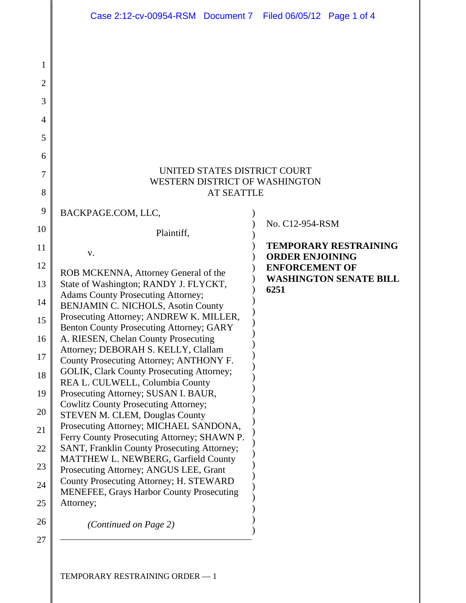|                | Case 2:12-cv-00954-RSM Document 7 Filed 06/05/12 Page 1 of 4                          |                                                        |
|----------------|---------------------------------------------------------------------------------------|--------------------------------------------------------|
|                |                                                                                       |                                                        |
| 1              |                                                                                       |                                                        |
| $\overline{2}$ |                                                                                       |                                                        |
| 3              |                                                                                       |                                                        |
|                |                                                                                       |                                                        |
| 4              |                                                                                       |                                                        |
| 5              |                                                                                       |                                                        |
| 6              |                                                                                       |                                                        |
| 7              | UNITED STATES DISTRICT COURT<br>WESTERN DISTRICT OF WASHINGTON                        |                                                        |
| 8              | <b>AT SEATTLE</b>                                                                     |                                                        |
| 9              | BACKPAGE.COM, LLC,                                                                    |                                                        |
| 10             | Plaintiff,                                                                            | No. C12-954-RSM                                        |
| 11             |                                                                                       | <b>TEMPORARY RESTRAINING</b>                           |
| 12             | V.                                                                                    | <b>ORDER ENJOINING</b>                                 |
|                | ROB MCKENNA, Attorney General of the                                                  | <b>ENFORCEMENT OF</b><br><b>WASHINGTON SENATE BILL</b> |
| 13             | State of Washington; RANDY J. FLYCKT,<br><b>Adams County Prosecuting Attorney;</b>    | 6251                                                   |
| 14             | BENJAMIN C. NICHOLS, Asotin County                                                    |                                                        |
| 15             | Prosecuting Attorney; ANDREW K. MILLER,<br>Benton County Prosecuting Attorney; GARY   |                                                        |
| 16             | A. RIESEN, Chelan County Prosecuting                                                  |                                                        |
| 17             | Attorney; DEBORAH S. KELLY, Clallam<br>County Prosecuting Attorney; ANTHONY F.        |                                                        |
| 18             | GOLIK, Clark County Prosecuting Attorney;                                             |                                                        |
|                | REA L. CULWELL, Columbia County<br>Prosecuting Attorney; SUSAN I. BAUR,               |                                                        |
| 19             | <b>Cowlitz County Prosecuting Attorney;</b>                                           |                                                        |
| 20             | <b>STEVEN M. CLEM, Douglas County</b>                                                 |                                                        |
| 21             | Prosecuting Attorney; MICHAEL SANDONA,<br>Ferry County Prosecuting Attorney; SHAWN P. |                                                        |
| 22             | SANT, Franklin County Prosecuting Attorney;                                           |                                                        |
| 23             | MATTHEW L. NEWBERG, Garfield County<br>Prosecuting Attorney; ANGUS LEE, Grant         |                                                        |
| 24             | County Prosecuting Attorney; H. STEWARD                                               |                                                        |
| 25             | <b>MENEFEE, Grays Harbor County Prosecuting</b><br>Attorney;                          |                                                        |
|                |                                                                                       |                                                        |
| 26             | (Continued on Page 2)                                                                 |                                                        |
| 27             |                                                                                       |                                                        |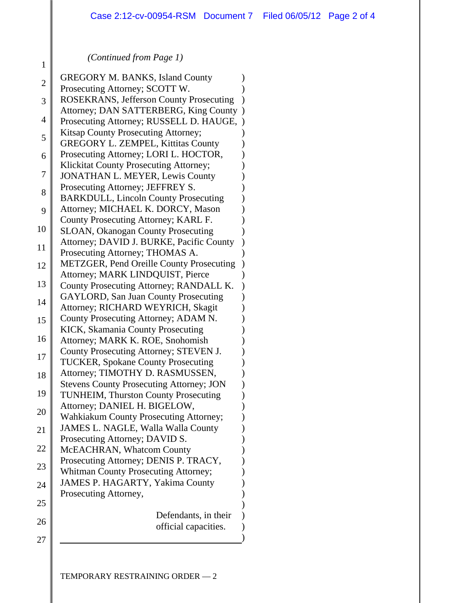## *(Continued from Page 1)*

1

| $\overline{2}$ | <b>GREGORY M. BANKS, Island County</b>                                             |           |
|----------------|------------------------------------------------------------------------------------|-----------|
|                | Prosecuting Attorney; SCOTT W.                                                     |           |
| 3              | <b>ROSEKRANS, Jefferson County Prosecuting</b>                                     |           |
| 4              | Attorney; DAN SATTERBERG, King County                                              | $\lambda$ |
|                | Prosecuting Attorney; RUSSELL D. HAUGE,                                            |           |
| 5              | Kitsap County Prosecuting Attorney;                                                |           |
|                | <b>GREGORY L. ZEMPEL, Kittitas County</b><br>Prosecuting Attorney; LORI L. HOCTOR, |           |
| 6              | Klickitat County Prosecuting Attorney;                                             |           |
| 7              | JONATHAN L. MEYER, Lewis County                                                    |           |
|                | Prosecuting Attorney; JEFFREY S.                                                   |           |
| 8              | <b>BARKDULL, Lincoln County Prosecuting</b>                                        |           |
| 9              | Attorney; MICHAEL K. DORCY, Mason                                                  |           |
|                | County Prosecuting Attorney; KARL F.                                               |           |
| 10             | SLOAN, Okanogan County Prosecuting                                                 |           |
|                | Attorney; DAVID J. BURKE, Pacific County                                           |           |
| 11             | Prosecuting Attorney; THOMAS A.                                                    |           |
| 12             | <b>METZGER, Pend Oreille County Prosecuting</b>                                    |           |
|                | Attorney; MARK LINDQUIST, Pierce                                                   |           |
| 13             | County Prosecuting Attorney; RANDALL K.                                            |           |
| 14             | <b>GAYLORD, San Juan County Prosecuting</b>                                        |           |
|                | Attorney; RICHARD WEYRICH, Skagit                                                  |           |
| 15             | County Prosecuting Attorney; ADAM N.                                               |           |
| 16             | KICK, Skamania County Prosecuting                                                  |           |
|                | Attorney; MARK K. ROE, Snohomish                                                   |           |
| 17             | County Prosecuting Attorney; STEVEN J.                                             |           |
|                | <b>TUCKER, Spokane County Prosecuting</b><br>Attorney; TIMOTHY D. RASMUSSEN,       |           |
| 18             | <b>Stevens County Prosecuting Attorney; JON</b>                                    |           |
| 19             | TUNHEIM, Thurston County Prosecuting                                               |           |
|                | Attorney; DANIEL H. BIGELOW,                                                       |           |
| 20             | <b>Wahkiakum County Prosecuting Attorney;</b>                                      |           |
| 21             | JAMES L. NAGLE, Walla Walla County                                                 |           |
|                | Prosecuting Attorney; DAVID S.                                                     |           |
| 22             | McEACHRAN, Whatcom County                                                          |           |
|                | Prosecuting Attorney; DENIS P. TRACY,                                              |           |
| 23             | <b>Whitman County Prosecuting Attorney;</b>                                        |           |
| 24             | JAMES P. HAGARTY, Yakima County                                                    |           |
|                | Prosecuting Attorney,                                                              |           |
| 25             |                                                                                    |           |
| 26             | Defendants, in their                                                               |           |
|                | official capacities.                                                               |           |
| 27             |                                                                                    |           |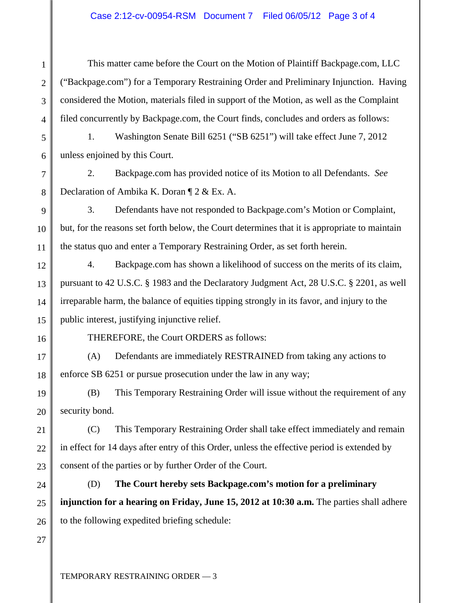This matter came before the Court on the Motion of Plaintiff Backpage.com, LLC ("Backpage.com") for a Temporary Restraining Order and Preliminary Injunction. Having considered the Motion, materials filed in support of the Motion, as well as the Complaint filed concurrently by Backpage.com, the Court finds, concludes and orders as follows:

1. Washington Senate Bill 6251 ("SB 6251") will take effect June 7, 2012 unless enjoined by this Court.

2. Backpage.com has provided notice of its Motion to all Defendants. *See*  Declaration of Ambika K. Doran ¶ 2 & Ex. A.

3. Defendants have not responded to Backpage.com's Motion or Complaint, but, for the reasons set forth below, the Court determines that it is appropriate to maintain the status quo and enter a Temporary Restraining Order, as set forth herein.

4. Backpage.com has shown a likelihood of success on the merits of its claim, pursuant to 42 U.S.C. § 1983 and the Declaratory Judgment Act, 28 U.S.C. § 2201, as well irreparable harm, the balance of equities tipping strongly in its favor, and injury to the public interest, justifying injunctive relief.

1

2

3

4

5

6

7

8

9

10

11

THEREFORE, the Court ORDERS as follows:

(A) Defendants are immediately RESTRAINED from taking any actions to enforce SB 6251 or pursue prosecution under the law in any way;

(B) This Temporary Restraining Order will issue without the requirement of any security bond.

(C) This Temporary Restraining Order shall take effect immediately and remain in effect for 14 days after entry of this Order, unless the effective period is extended by consent of the parties or by further Order of the Court.

(D) **The Court hereby sets Backpage.com's motion for a preliminary injunction for a hearing on Friday, June 15, 2012 at 10:30 a.m.** The parties shall adhere to the following expedited briefing schedule: